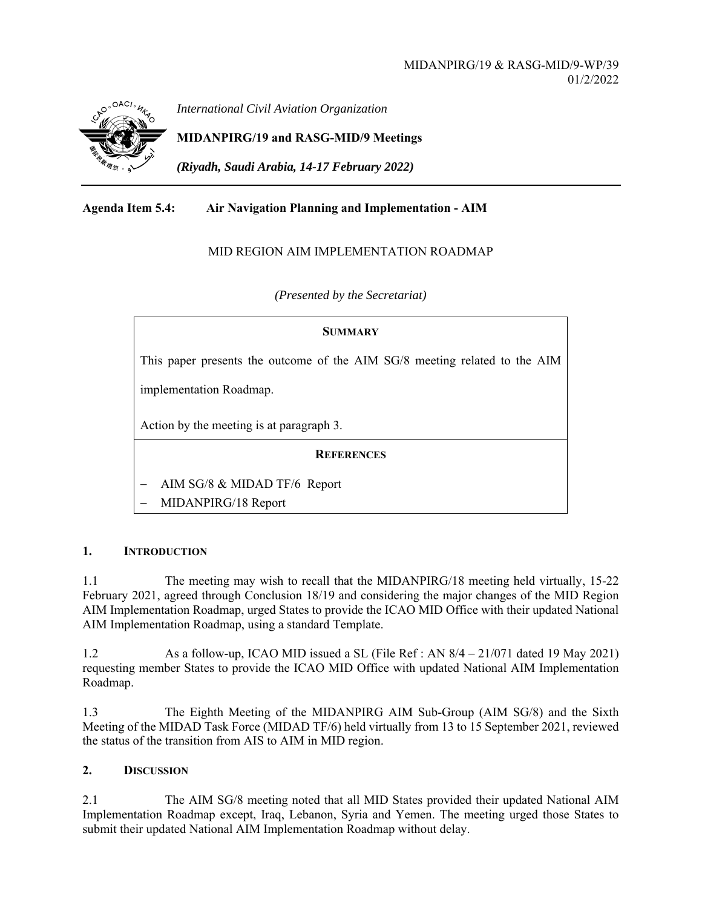

*International Civil Aviation Organization*

**MIDANPIRG/19 and RASG-MID/9 Meetings** 

*(Riyadh, Saudi Arabia, 14-17 February 2022)* 

## **Agenda Item 5.4: Air Navigation Planning and Implementation - AIM**

## MID REGION AIM IMPLEMENTATION ROADMAP

*(Presented by the Secretariat)* 

# **SUMMARY** This paper presents the outcome of the AIM SG/8 meeting related to the AIM implementation Roadmap. Action by the meeting is at paragraph 3. **REFERENCES** AIM SG/8 & MIDAD TF/6 Report MIDANPIRG/18 Report

### **1. INTRODUCTION**

1.1 The meeting may wish to recall that the MIDANPIRG/18 meeting held virtually, 15-22 February 2021, agreed through Conclusion 18/19 and considering the major changes of the MID Region AIM Implementation Roadmap, urged States to provide the ICAO MID Office with their updated National AIM Implementation Roadmap, using a standard Template.

1.2 As a follow-up, ICAO MID issued a SL (File Ref : AN 8/4 – 21/071 dated 19 May 2021) requesting member States to provide the ICAO MID Office with updated National AIM Implementation Roadmap.

1.3 The Eighth Meeting of the MIDANPIRG AIM Sub-Group (AIM SG/8) and the Sixth Meeting of the MIDAD Task Force (MIDAD TF/6) held virtually from 13 to 15 September 2021, reviewed the status of the transition from AIS to AIM in MID region.

### **2. DISCUSSION**

2.1 The AIM SG/8 meeting noted that all MID States provided their updated National AIM Implementation Roadmap except, Iraq, Lebanon, Syria and Yemen. The meeting urged those States to submit their updated National AIM Implementation Roadmap without delay.